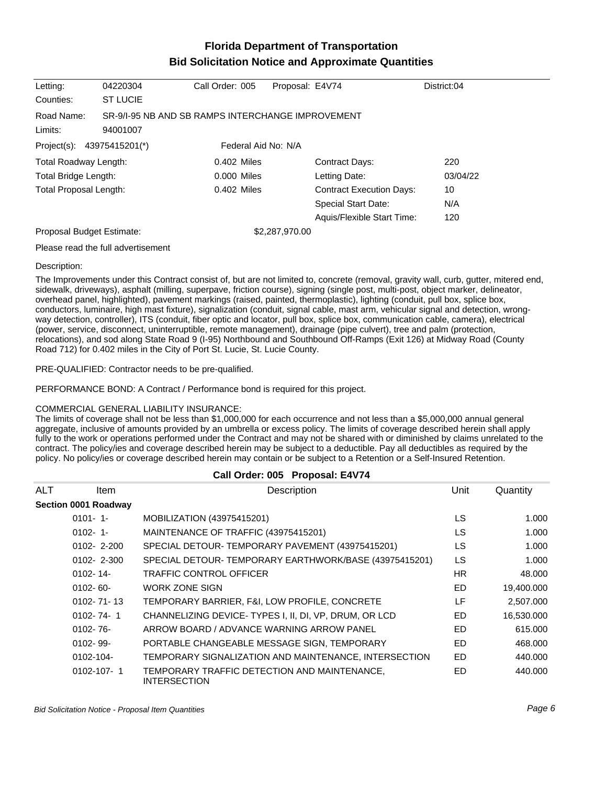# **Florida Department of Transportation Bid Solicitation Notice and Approximate Quantities**

| Letting:                  | 04220304                                                      | Call Order: 005     | Proposal: E4V74 |                                 | District:04 |
|---------------------------|---------------------------------------------------------------|---------------------|-----------------|---------------------------------|-------------|
| Counties:                 | <b>ST LUCIE</b>                                               |                     |                 |                                 |             |
| Road Name:<br>Limits:     | SR-9/1-95 NB AND SB RAMPS INTERCHANGE IMPROVEMENT<br>94001007 |                     |                 |                                 |             |
| Project(s):               | 43975415201(*)                                                | Federal Aid No: N/A |                 |                                 |             |
| Total Roadway Length:     |                                                               | $0.402$ Miles       |                 | <b>Contract Days:</b>           | 220         |
| Total Bridge Length:      |                                                               | 0.000 Miles         |                 | Letting Date:                   | 03/04/22    |
| Total Proposal Length:    |                                                               | 0.402 Miles         |                 | <b>Contract Execution Days:</b> | 10          |
|                           |                                                               |                     |                 | <b>Special Start Date:</b>      | N/A         |
|                           |                                                               |                     |                 | Aquis/Flexible Start Time:      | 120         |
| Proposal Budget Estimate: |                                                               |                     | \$2,287,970.00  |                                 |             |
|                           | Please read the full advertisement                            |                     |                 |                                 |             |

#### Description:

The Improvements under this Contract consist of, but are not limited to, concrete (removal, gravity wall, curb, gutter, mitered end, sidewalk, driveways), asphalt (milling, superpave, friction course), signing (single post, multi-post, object marker, delineator, overhead panel, highlighted), pavement markings (raised, painted, thermoplastic), lighting (conduit, pull box, splice box, conductors, luminaire, high mast fixture), signalization (conduit, signal cable, mast arm, vehicular signal and detection, wrongway detection, controller), ITS (conduit, fiber optic and locator, pull box, splice box, communication cable, camera), electrical (power, service, disconnect, uninterruptible, remote management), drainage (pipe culvert), tree and palm (protection, relocations), and sod along State Road 9 (I-95) Northbound and Southbound Off-Ramps (Exit 126) at Midway Road (County Road 712) for 0.402 miles in the City of Port St. Lucie, St. Lucie County.

PRE-QUALIFIED: Contractor needs to be pre-qualified.

PERFORMANCE BOND: A Contract / Performance bond is required for this project.

### COMMERCIAL GENERAL LIABILITY INSURANCE:

The limits of coverage shall not be less than \$1,000,000 for each occurrence and not less than a \$5,000,000 annual general aggregate, inclusive of amounts provided by an umbrella or excess policy. The limits of coverage described herein shall apply fully to the work or operations performed under the Contract and may not be shared with or diminished by claims unrelated to the contract. The policy/ies and coverage described herein may be subject to a deductible. Pay all deductibles as required by the policy. No policy/ies or coverage described herein may contain or be subject to a Retention or a Self-Insured Retention.

| Call Order: 005 Proposal: E4V74 |                      |                                                                     |           |            |
|---------------------------------|----------------------|---------------------------------------------------------------------|-----------|------------|
| <b>ALT</b>                      | <b>Item</b>          | Description                                                         | Unit      | Quantity   |
|                                 | Section 0001 Roadway |                                                                     |           |            |
|                                 | $0101 - 1$           | MOBILIZATION (43975415201)                                          | LS.       | 1.000      |
|                                 | $0102 - 1$           | MAINTENANCE OF TRAFFIC (43975415201)                                | LS        | 1.000      |
|                                 | $0102 - 2 - 200$     | SPECIAL DETOUR-TEMPORARY PAVEMENT (43975415201)                     | LS.       | 1.000      |
|                                 | $0102 - 2 - 300$     | SPECIAL DETOUR-TEMPORARY EARTHWORK/BASE (43975415201)               | <b>LS</b> | 1.000      |
|                                 | $0102 - 14$          | <b>TRAFFIC CONTROL OFFICER</b>                                      | HR.       | 48.000     |
|                                 | $0102 - 60 -$        | <b>WORK ZONE SIGN</b>                                               | <b>ED</b> | 19,400.000 |
|                                 | $0102 - 71 - 13$     | TEMPORARY BARRIER, F&I, LOW PROFILE, CONCRETE                       | LF        | 2,507.000  |
|                                 | $0102 - 74 - 1$      | CHANNELIZING DEVICE-TYPES I, II, DI, VP, DRUM, OR LCD               | <b>ED</b> | 16,530.000 |
|                                 | $0102 - 76 -$        | ARROW BOARD / ADVANCE WARNING ARROW PANEL                           | <b>ED</b> | 615,000    |
|                                 | $0102 - 99 -$        | PORTABLE CHANGEABLE MESSAGE SIGN, TEMPORARY                         | ED.       | 468,000    |
|                                 | 0102-104-            | TEMPORARY SIGNALIZATION AND MAINTENANCE, INTERSECTION               | <b>ED</b> | 440.000    |
|                                 | $0102 - 107 - 1$     | TEMPORARY TRAFFIC DETECTION AND MAINTENANCE,<br><b>INTERSECTION</b> | ED        | 440.000    |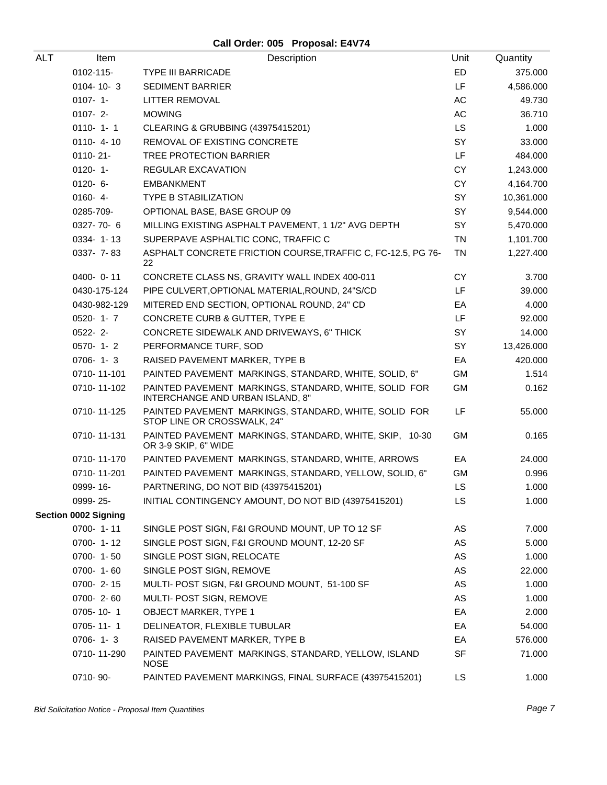## **Call Order: 005 Proposal: E4V74**

| ALT | Item                        | Description                                                                               | Unit      | Quantity   |
|-----|-----------------------------|-------------------------------------------------------------------------------------------|-----------|------------|
|     | 0102-115-                   | <b>TYPE III BARRICADE</b>                                                                 | ED        | 375.000    |
|     | $0104 - 10 - 3$             | <b>SEDIMENT BARRIER</b>                                                                   | LF        | 4,586.000  |
|     | $0107 - 1 -$                | LITTER REMOVAL                                                                            | AC        | 49.730     |
|     | $0107 - 2$                  | <b>MOWING</b>                                                                             | AC        | 36.710     |
|     | $0110 - 1 - 1$              | CLEARING & GRUBBING (43975415201)                                                         | <b>LS</b> | 1.000      |
|     | $0110 - 4 - 10$             | <b>REMOVAL OF EXISTING CONCRETE</b>                                                       | SY        | 33.000     |
|     | 0110-21-                    | TREE PROTECTION BARRIER                                                                   | LF        | 484.000    |
|     | $0120 - 1$                  | <b>REGULAR EXCAVATION</b>                                                                 | CY        | 1,243.000  |
|     | $0120 - 6 -$                | <b>EMBANKMENT</b>                                                                         | CY        | 4,164.700  |
|     | $0160 - 4 -$                | <b>TYPE B STABILIZATION</b>                                                               | SY        | 10,361.000 |
|     | 0285-709-                   | OPTIONAL BASE, BASE GROUP 09                                                              | <b>SY</b> | 9,544.000  |
|     | $0327 - 70 - 6$             | MILLING EXISTING ASPHALT PAVEMENT, 1 1/2" AVG DEPTH                                       | SY        | 5,470.000  |
|     | 0334-1-13                   | SUPERPAVE ASPHALTIC CONC, TRAFFIC C                                                       | <b>TN</b> | 1,101.700  |
|     | 0337- 7-83                  | ASPHALT CONCRETE FRICTION COURSE, TRAFFIC C, FC-12.5, PG 76-<br>22                        | <b>TN</b> | 1,227.400  |
|     | $0400 - 0 - 11$             | CONCRETE CLASS NS, GRAVITY WALL INDEX 400-011                                             | <b>CY</b> | 3.700      |
|     | 0430-175-124                | PIPE CULVERT, OPTIONAL MATERIAL, ROUND, 24"S/CD                                           | LF        | 39.000     |
|     | 0430-982-129                | MITERED END SECTION, OPTIONAL ROUND, 24" CD                                               | EA        | 4.000      |
|     | $0520 - 1 - 7$              | CONCRETE CURB & GUTTER, TYPE E                                                            | LF.       | 92.000     |
|     | $0522 - 2$ -                | CONCRETE SIDEWALK AND DRIVEWAYS, 6" THICK                                                 | SY        | 14.000     |
|     | $0570 - 1 - 2$              | PERFORMANCE TURF, SOD                                                                     | SY        | 13,426.000 |
|     | $0706 - 1 - 3$              | RAISED PAVEMENT MARKER, TYPE B                                                            | EA        | 420.000    |
|     | 0710-11-101                 | PAINTED PAVEMENT MARKINGS, STANDARD, WHITE, SOLID, 6"                                     | <b>GM</b> | 1.514      |
|     | 0710-11-102                 | PAINTED PAVEMENT MARKINGS, STANDARD, WHITE, SOLID FOR<br>INTERCHANGE AND URBAN ISLAND, 8" | <b>GM</b> | 0.162      |
|     | 0710-11-125                 | PAINTED PAVEMENT MARKINGS, STANDARD, WHITE, SOLID FOR<br>STOP LINE OR CROSSWALK, 24"      | LF        | 55.000     |
|     | 0710-11-131                 | PAINTED PAVEMENT MARKINGS, STANDARD, WHITE, SKIP, 10-30<br>OR 3-9 SKIP, 6" WIDE           | GM        | 0.165      |
|     | 0710-11-170                 | PAINTED PAVEMENT MARKINGS, STANDARD, WHITE, ARROWS                                        | EA        | 24.000     |
|     | 0710-11-201                 | PAINTED PAVEMENT MARKINGS, STANDARD, YELLOW, SOLID, 6"                                    | <b>GM</b> | 0.996      |
|     | 0999-16-                    | PARTNERING, DO NOT BID (43975415201)                                                      | LS        | 1.000      |
|     | 0999-25-                    | INITIAL CONTINGENCY AMOUNT, DO NOT BID (43975415201)                                      | LS        | 1.000      |
|     | <b>Section 0002 Signing</b> |                                                                                           |           |            |
|     | 0700-1-11                   | SINGLE POST SIGN, F&I GROUND MOUNT, UP TO 12 SF                                           | AS        | 7.000      |
|     | $0700 - 1 - 12$             | SINGLE POST SIGN, F&I GROUND MOUNT, 12-20 SF                                              | AS        | 5.000      |
|     | $0700 - 1 - 50$             | SINGLE POST SIGN, RELOCATE                                                                | AS        | 1.000      |
|     | 0700-1-60                   | SINGLE POST SIGN, REMOVE                                                                  | AS        | 22.000     |
|     | $0700 - 2 - 15$             | MULTI- POST SIGN, F&I GROUND MOUNT, 51-100 SF                                             | AS        | 1.000      |
|     | 0700-2-60                   | MULTI- POST SIGN, REMOVE                                                                  | AS        | 1.000      |
|     | 0705-10-1                   | <b>OBJECT MARKER, TYPE 1</b>                                                              | EA        | 2.000      |
|     | $0705 - 11 - 1$             | DELINEATOR, FLEXIBLE TUBULAR                                                              | EA        | 54.000     |
|     | $0706 - 1 - 3$              | RAISED PAVEMENT MARKER, TYPE B                                                            | EA        | 576.000    |
|     | 0710-11-290                 | PAINTED PAVEMENT MARKINGS, STANDARD, YELLOW, ISLAND<br><b>NOSE</b>                        | <b>SF</b> | 71.000     |
|     | 0710-90-                    | PAINTED PAVEMENT MARKINGS, FINAL SURFACE (43975415201)                                    | LS.       | 1.000      |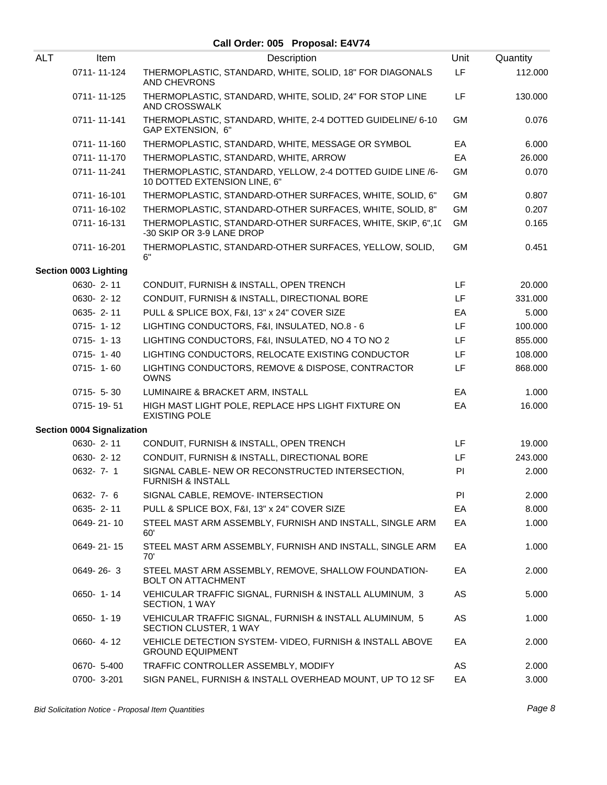### **Call Order: 005 Proposal: E4V74**

| <b>ALT</b> | Item                              | Description                                                                                | Unit      | Quantity |
|------------|-----------------------------------|--------------------------------------------------------------------------------------------|-----------|----------|
|            | 0711-11-124                       | THERMOPLASTIC, STANDARD, WHITE, SOLID, 18" FOR DIAGONALS<br><b>AND CHEVRONS</b>            | LF        | 112.000  |
|            | 0711-11-125                       | THERMOPLASTIC, STANDARD, WHITE, SOLID, 24" FOR STOP LINE<br>AND CROSSWALK                  | LF.       | 130.000  |
|            | 0711-11-141                       | THERMOPLASTIC, STANDARD, WHITE, 2-4 DOTTED GUIDELINE/ 6-10<br>GAP EXTENSION, 6"            | <b>GM</b> | 0.076    |
|            | 0711-11-160                       | THERMOPLASTIC, STANDARD, WHITE, MESSAGE OR SYMBOL                                          | EA        | 6.000    |
|            | 0711-11-170                       | THERMOPLASTIC, STANDARD, WHITE, ARROW                                                      | EA        | 26.000   |
|            | 0711-11-241                       | THERMOPLASTIC, STANDARD, YELLOW, 2-4 DOTTED GUIDE LINE /6-<br>10 DOTTED EXTENSION LINE, 6" | <b>GM</b> | 0.070    |
|            | 0711-16-101                       | THERMOPLASTIC, STANDARD-OTHER SURFACES, WHITE, SOLID, 6"                                   | <b>GM</b> | 0.807    |
|            | 0711-16-102                       | THERMOPLASTIC, STANDARD-OTHER SURFACES, WHITE, SOLID, 8"                                   | <b>GM</b> | 0.207    |
|            | 0711-16-131                       | THERMOPLASTIC, STANDARD-OTHER SURFACES, WHITE, SKIP, 6",10<br>-30 SKIP OR 3-9 LANE DROP    | <b>GM</b> | 0.165    |
|            | 0711-16-201                       | THERMOPLASTIC, STANDARD-OTHER SURFACES, YELLOW, SOLID,<br>6"                               | <b>GM</b> | 0.451    |
|            | Section 0003 Lighting             |                                                                                            |           |          |
|            | 0630-2-11                         | CONDUIT, FURNISH & INSTALL, OPEN TRENCH                                                    | LF        | 20.000   |
|            | 0630-2-12                         | CONDUIT, FURNISH & INSTALL, DIRECTIONAL BORE                                               | LF        | 331.000  |
|            | 0635-2-11                         | PULL & SPLICE BOX, F&I, 13" x 24" COVER SIZE                                               | EA        | 5.000    |
|            | $0715 - 1 - 12$                   | LIGHTING CONDUCTORS, F&I, INSULATED, NO.8 - 6                                              | LF        | 100.000  |
|            | $0715 - 1 - 13$                   | LIGHTING CONDUCTORS, F&I, INSULATED, NO 4 TO NO 2                                          | LF        | 855.000  |
|            | $0715 - 1 - 40$                   | LIGHTING CONDUCTORS, RELOCATE EXISTING CONDUCTOR                                           | LF.       | 108.000  |
|            | $0715 - 1 - 60$                   | LIGHTING CONDUCTORS, REMOVE & DISPOSE, CONTRACTOR<br><b>OWNS</b>                           | LF        | 868.000  |
|            | $0715 - 5 - 30$                   | LUMINAIRE & BRACKET ARM, INSTALL                                                           | EA        | 1.000    |
|            | 0715-19-51                        | HIGH MAST LIGHT POLE, REPLACE HPS LIGHT FIXTURE ON<br><b>EXISTING POLE</b>                 | EA        | 16.000   |
|            | <b>Section 0004 Signalization</b> |                                                                                            |           |          |
|            | 0630-2-11                         | CONDUIT, FURNISH & INSTALL, OPEN TRENCH                                                    | LF        | 19.000   |
|            | 0630-2-12                         | CONDUIT, FURNISH & INSTALL, DIRECTIONAL BORE                                               | LF        | 243.000  |
|            | 0632-7-1                          | SIGNAL CABLE- NEW OR RECONSTRUCTED INTERSECTION,<br><b>FURNISH &amp; INSTALL</b>           | PI        | 2.000    |
|            | 0632-7-6                          | SIGNAL CABLE, REMOVE- INTERSECTION                                                         | PI        | 2.000    |
|            | 0635-2-11                         | PULL & SPLICE BOX, F&I, 13" x 24" COVER SIZE                                               | EA        | 8.000    |
|            | 0649-21-10                        | STEEL MAST ARM ASSEMBLY, FURNISH AND INSTALL, SINGLE ARM<br>60'                            | EA        | 1.000    |
|            | 0649-21-15                        | STEEL MAST ARM ASSEMBLY, FURNISH AND INSTALL, SINGLE ARM<br>70'                            | EA        | 1.000    |
|            | 0649-26-3                         | STEEL MAST ARM ASSEMBLY, REMOVE, SHALLOW FOUNDATION-<br><b>BOLT ON ATTACHMENT</b>          | EA        | 2.000    |
|            | $0650 - 1 - 14$                   | VEHICULAR TRAFFIC SIGNAL, FURNISH & INSTALL ALUMINUM, 3<br>SECTION, 1 WAY                  | AS        | 5.000    |
|            | $0650 - 1 - 19$                   | VEHICULAR TRAFFIC SIGNAL, FURNISH & INSTALL ALUMINUM, 5<br>SECTION CLUSTER, 1 WAY          | AS        | 1.000    |
|            | 0660-4-12                         | VEHICLE DETECTION SYSTEM- VIDEO, FURNISH & INSTALL ABOVE<br><b>GROUND EQUIPMENT</b>        | EA        | 2.000    |
|            | 0670- 5-400                       | TRAFFIC CONTROLLER ASSEMBLY, MODIFY                                                        | AS        | 2.000    |
|            | 0700-3-201                        | SIGN PANEL, FURNISH & INSTALL OVERHEAD MOUNT, UP TO 12 SF                                  | EA        | 3.000    |